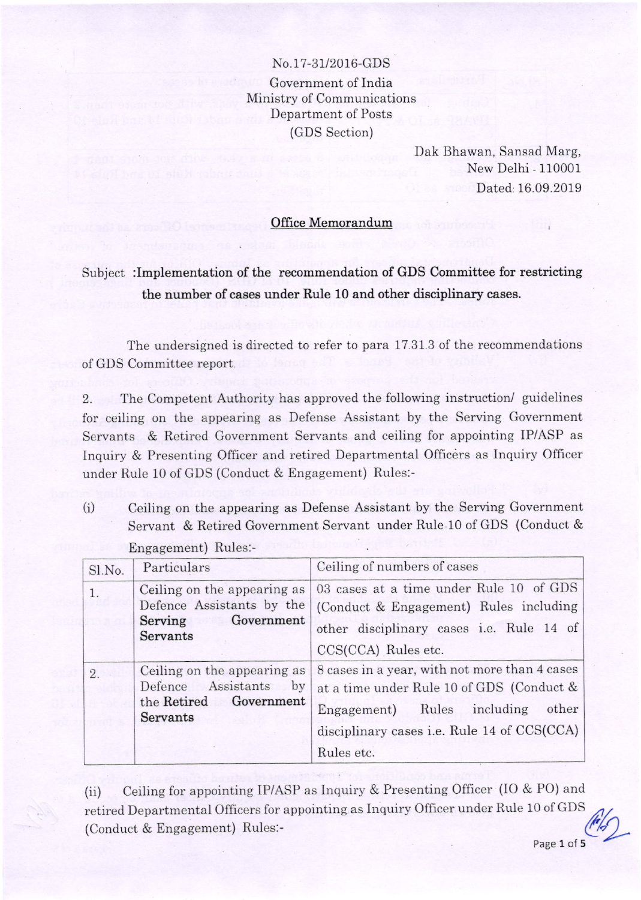No.17-31/2016-GDS Government of India Ministry of Communications Department of Posts (GDS Section)

> Dak Bhawan, Sansad Marg, New Delhi - 110001 Dated: 16.09.2019

## Office Memorandum

Subject :Implementation of the recommendation of GDS Committee for restricting the number of cases under Bule 10 and other disciplinary cases.

The undersigned is directed to refer to para 17.31 3 of the recommendations of GDS Committee report.

2. The Competent Authority has approved the foilowing instruction/ guidelines for ceiling on the appearing as Defense Assistant by the Serving Government Servants & Retired Government Servants and ceiling for appointing IP/ASP as Inquiry & Presenting Officer and retired Departmental Officers as Inquiry Officer under Rule 10 of GDS (Conduct & Engagement) Rules:-

(i) Ceiling on the appearing as Defense Assistant by the Serving Government Servant & Retired Government Servant under Rule 10 of GDS (Conduct & Engagement) Rules:-

| Sl.No. | Particulars                                                                                         | Ceiling of numbers of cases                                                                                                                                                                     |
|--------|-----------------------------------------------------------------------------------------------------|-------------------------------------------------------------------------------------------------------------------------------------------------------------------------------------------------|
| 1.     | Ceiling on the appearing as<br>Defence Assistants by the<br>Government<br>Serving<br>Servants       | 03 cases at a time under Rule 10 of GDS<br>(Conduct & Engagement) Rules including<br>other disciplinary cases i.e. Rule 14 of<br>CCS(CCA) Rules etc.                                            |
| 2.     | Ceiling on the appearing as<br>Assistants<br>Defence<br>by<br>Government<br>the Retired<br>Servants | 8 cases in a year, with not more than 4 cases<br>at a time under Rule 10 of GDS (Conduct &<br>Engagement) Rules including<br>other<br>disciplinary cases i.e. Rule 14 of CCS(CCA)<br>Rules etc. |

(ii) Ceiling for appointing IP/ASP as Inquiry & Presenting Officer (IO & PO) and retired Departmental Officers for appointing as Inquiry Officer under Rule 10 of GDS  $\frac{1}{4}$  $(Conduct & Engagement)$  Rules:-

Page 1 of 5